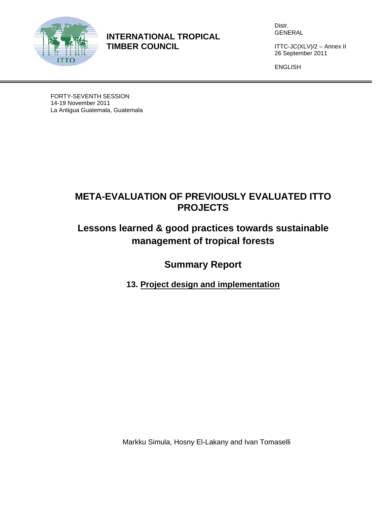

**INTERNATIONAL TROPICAL TIMBER COUNCIL** 

Distr. GENERAL

ITTC-JC(XLV)/2 – Annex II 26 September 2011

ENGLISH

FORTY-SEVENTH SESSION 14-19 November 2011 La Antigua Guatemala, Guatemala

## **META-EVALUATION OF PREVIOUSLY EVALUATED ITTO PROJECTS**

# **Lessons learned & good practices towards sustainable management of tropical forests**

**Summary Report** 

**13. Project design and implementation** 

Markku Simula, Hosny El-Lakany and Ivan Tomaselli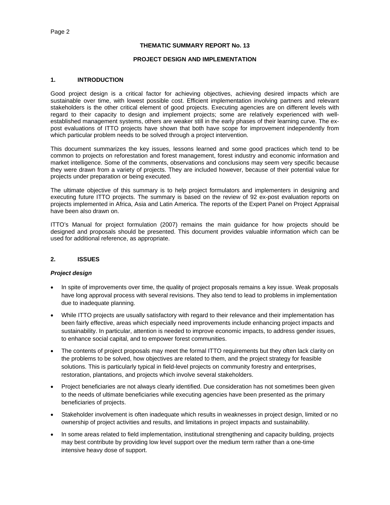## **THEMATIC SUMMARY REPORT No. 13**

## **PROJECT DESIGN AND IMPLEMENTATION**

## **1. INTRODUCTION**

Good project design is a critical factor for achieving objectives, achieving desired impacts which are sustainable over time, with lowest possible cost. Efficient implementation involving partners and relevant stakeholders is the other critical element of good projects. Executing agencies are on different levels with regard to their capacity to design and implement projects; some are relatively experienced with wellestablished management systems, others are weaker still in the early phases of their learning curve. The expost evaluations of ITTO projects have shown that both have scope for improvement independently from which particular problem needs to be solved through a project intervention.

This document summarizes the key issues, lessons learned and some good practices which tend to be common to projects on reforestation and forest management, forest industry and economic information and market intelligence. Some of the comments, observations and conclusions may seem very specific because they were drawn from a variety of projects. They are included however, because of their potential value for projects under preparation or being executed.

The ultimate objective of this summary is to help project formulators and implementers in designing and executing future ITTO projects. The summary is based on the review of 92 ex-post evaluation reports on projects implemented in Africa, Asia and Latin America. The reports of the Expert Panel on Project Appraisal have been also drawn on.

ITTO's Manual for project formulation (2007) remains the main guidance for how projects should be designed and proposals should be presented. This document provides valuable information which can be used for additional reference, as appropriate.

## **2. ISSUES**

## *Project design*

- In spite of improvements over time, the quality of project proposals remains a key issue. Weak proposals have long approval process with several revisions. They also tend to lead to problems in implementation due to inadequate planning.
- While ITTO projects are usually satisfactory with regard to their relevance and their implementation has been fairly effective, areas which especially need improvements include enhancing project impacts and sustainability. In particular, attention is needed to improve economic impacts, to address gender issues, to enhance social capital, and to empower forest communities.
- The contents of project proposals may meet the formal ITTO requirements but they often lack clarity on the problems to be solved, how objectives are related to them, and the project strategy for feasible solutions. This is particularly typical in field-level projects on community forestry and enterprises, restoration, plantations, and projects which involve several stakeholders.
- Project beneficiaries are not always clearly identified. Due consideration has not sometimes been given to the needs of ultimate beneficiaries while executing agencies have been presented as the primary beneficiaries of projects.
- Stakeholder involvement is often inadequate which results in weaknesses in project design, limited or no ownership of project activities and results, and limitations in project impacts and sustainability.
- In some areas related to field implementation, institutional strengthening and capacity building, projects may best contribute by providing low level support over the medium term rather than a one-time intensive heavy dose of support.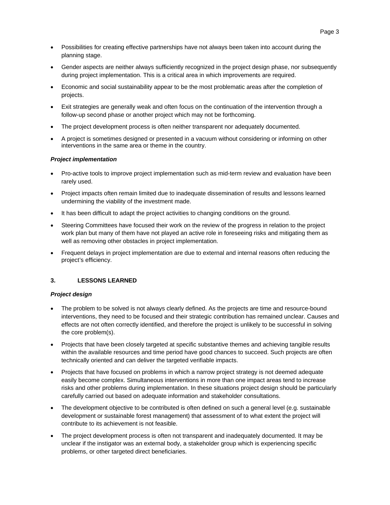- Possibilities for creating effective partnerships have not always been taken into account during the planning stage.
- Gender aspects are neither always sufficiently recognized in the project design phase, nor subsequently during project implementation. This is a critical area in which improvements are required.
- Economic and social sustainability appear to be the most problematic areas after the completion of projects.
- Exit strategies are generally weak and often focus on the continuation of the intervention through a follow-up second phase or another project which may not be forthcoming.
- The project development process is often neither transparent nor adequately documented.
- A project is sometimes designed or presented in a vacuum without considering or informing on other interventions in the same area or theme in the country.

## *Project implementation*

- Pro-active tools to improve project implementation such as mid-term review and evaluation have been rarely used.
- Project impacts often remain limited due to inadequate dissemination of results and lessons learned undermining the viability of the investment made.
- It has been difficult to adapt the project activities to changing conditions on the ground.
- Steering Committees have focused their work on the review of the progress in relation to the project work plan but many of them have not played an active role in foreseeing risks and mitigating them as well as removing other obstacles in project implementation.
- Frequent delays in project implementation are due to external and internal reasons often reducing the project's efficiency.

## **3. LESSONS LEARNED**

## *Project design*

- The problem to be solved is not always clearly defined. As the projects are time and resource-bound interventions, they need to be focused and their strategic contribution has remained unclear. Causes and effects are not often correctly identified, and therefore the project is unlikely to be successful in solving the core problem(s).
- Projects that have been closely targeted at specific substantive themes and achieving tangible results within the available resources and time period have good chances to succeed. Such projects are often technically oriented and can deliver the targeted verifiable impacts.
- Projects that have focused on problems in which a narrow project strategy is not deemed adequate easily become complex. Simultaneous interventions in more than one impact areas tend to increase risks and other problems during implementation. In these situations project design should be particularly carefully carried out based on adequate information and stakeholder consultations.
- The development objective to be contributed is often defined on such a general level (e.g. sustainable development or sustainable forest management) that assessment of to what extent the project will contribute to its achievement is not feasible.
- The project development process is often not transparent and inadequately documented. It may be unclear if the instigator was an external body, a stakeholder group which is experiencing specific problems, or other targeted direct beneficiaries.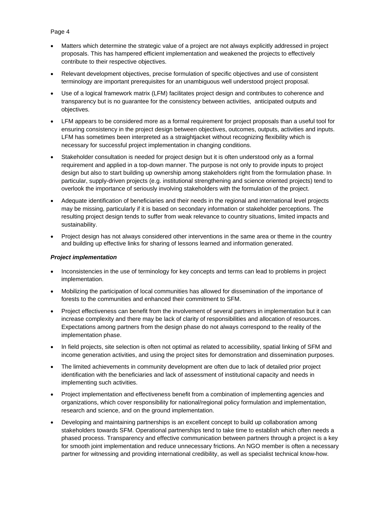## Page 4

- Matters which determine the strategic value of a project are not always explicitly addressed in project proposals. This has hampered efficient implementation and weakened the projects to effectively contribute to their respective objectives.
- Relevant development objectives, precise formulation of specific objectives and use of consistent terminology are important prerequisites for an unambiguous well understood project proposal.
- Use of a logical framework matrix (LFM) facilitates project design and contributes to coherence and transparency but is no guarantee for the consistency between activities, anticipated outputs and objectives.
- LFM appears to be considered more as a formal requirement for project proposals than a useful tool for ensuring consistency in the project design between objectives, outcomes, outputs, activities and inputs. LFM has sometimes been interpreted as a straightjacket without recognizing flexibility which is necessary for successful project implementation in changing conditions.
- Stakeholder consultation is needed for project design but it is often understood only as a formal requirement and applied in a top-down manner. The purpose is not only to provide inputs to project design but also to start building up ownership among stakeholders right from the formulation phase. In particular, supply-driven projects (e.g. institutional strengthening and science oriented projects) tend to overlook the importance of seriously involving stakeholders with the formulation of the project.
- Adequate identification of beneficiaries and their needs in the regional and international level projects may be missing, particularly if it is based on secondary information or stakeholder perceptions. The resulting project design tends to suffer from weak relevance to country situations, limited impacts and sustainability.
- Project design has not always considered other interventions in the same area or theme in the country and building up effective links for sharing of lessons learned and information generated.

## *Project implementation*

- Inconsistencies in the use of terminology for key concepts and terms can lead to problems in project implementation.
- Mobilizing the participation of local communities has allowed for dissemination of the importance of forests to the communities and enhanced their commitment to SFM.
- Project effectiveness can benefit from the involvement of several partners in implementation but it can increase complexity and there may be lack of clarity of responsibilities and allocation of resources. Expectations among partners from the design phase do not always correspond to the reality of the implementation phase.
- In field projects, site selection is often not optimal as related to accessibility, spatial linking of SFM and income generation activities, and using the project sites for demonstration and dissemination purposes.
- The limited achievements in community development are often due to lack of detailed prior project identification with the beneficiaries and lack of assessment of institutional capacity and needs in implementing such activities.
- Project implementation and effectiveness benefit from a combination of implementing agencies and organizations, which cover responsibility for national/regional policy formulation and implementation, research and science, and on the ground implementation.
- Developing and maintaining partnerships is an excellent concept to build up collaboration among stakeholders towards SFM. Operational partnerships tend to take time to establish which often needs a phased process. Transparency and effective communication between partners through a project is a key for smooth joint implementation and reduce unnecessary frictions. An NGO member is often a necessary partner for witnessing and providing international credibility, as well as specialist technical know-how.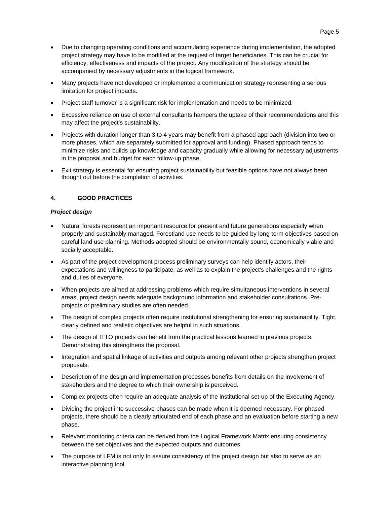- Due to changing operating conditions and accumulating experience during implementation, the adopted project strategy may have to be modified at the request of target beneficiaries. This can be crucial for efficiency, effectiveness and impacts of the project. Any modification of the strategy should be accompanied by necessary adjustments in the logical framework.
- Many projects have not developed or implemented a communication strategy representing a serious limitation for project impacts.
- Project staff turnover is a significant risk for implementation and needs to be minimized.
- Excessive reliance on use of external consultants hampers the uptake of their recommendations and this may affect the project's sustainability.
- Projects with duration longer than 3 to 4 years may benefit from a phased approach (division into two or more phases, which are separately submitted for approval and funding). Phased approach tends to minimize risks and builds up knowledge and capacity gradually while allowing for necessary adjustments in the proposal and budget for each follow-up phase.
- Exit strategy is essential for ensuring project sustainability but feasible options have not always been thought out before the completion of activities.

## **4. GOOD PRACTICES**

## *Project design*

- Natural forests represent an important resource for present and future generations especially when properly and sustainably managed. Forestland use needs to be guided by long-term objectives based on careful land use planning. Methods adopted should be environmentally sound, economically viable and socially acceptable.
- As part of the project development process preliminary surveys can help identify actors, their expectations and willingness to participate, as well as to explain the project's challenges and the rights and duties of everyone.
- When projects are aimed at addressing problems which require simultaneous interventions in several areas, project design needs adequate background information and stakeholder consultations. Preprojects or preliminary studies are often needed.
- The design of complex projects often require institutional strengthening for ensuring sustainability. Tight, clearly defined and realistic objectives are helpful in such situations.
- The design of ITTO projects can benefit from the practical lessons learned in previous projects. Demonstrating this strengthens the proposal.
- Integration and spatial linkage of activities and outputs among relevant other projects strengthen project proposals.
- Description of the design and implementation processes benefits from details on the involvement of stakeholders and the degree to which their ownership is perceived.
- Complex projects often require an adequate analysis of the institutional set-up of the Executing Agency.
- Dividing the project into successive phases can be made when it is deemed necessary. For phased projects, there should be a clearly articulated end of each phase and an evaluation before starting a new phase.
- Relevant monitoring criteria can be derived from the Logical Framework Matrix ensuring consistency between the set objectives and the expected outputs and outcomes.
- The purpose of LFM is not only to assure consistency of the project design but also to serve as an interactive planning tool.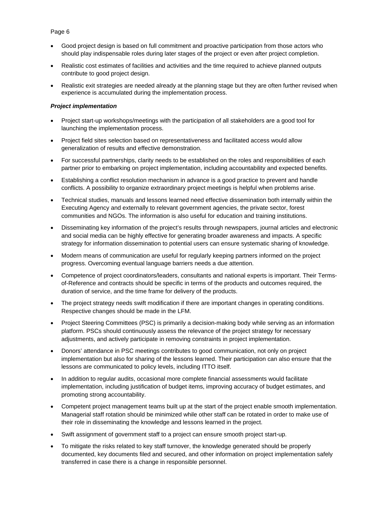## Page 6

- Good project design is based on full commitment and proactive participation from those actors who should play indispensable roles during later stages of the project or even after project completion.
- Realistic cost estimates of facilities and activities and the time required to achieve planned outputs contribute to good project design.
- Realistic exit strategies are needed already at the planning stage but they are often further revised when experience is accumulated during the implementation process.

## *Project implementation*

- Project start-up workshops/meetings with the participation of all stakeholders are a good tool for launching the implementation process.
- Project field sites selection based on representativeness and facilitated access would allow generalization of results and effective demonstration.
- For successful partnerships, clarity needs to be established on the roles and responsibilities of each partner prior to embarking on project implementation, including accountability and expected benefits.
- Establishing a conflict resolution mechanism in advance is a good practice to prevent and handle conflicts. A possibility to organize extraordinary project meetings is helpful when problems arise.
- Technical studies, manuals and lessons learned need effective dissemination both internally within the Executing Agency and externally to relevant government agencies, the private sector, forest communities and NGOs. The information is also useful for education and training institutions.
- Disseminating key information of the project's results through newspapers, journal articles and electronic and social media can be highly effective for generating broader awareness and impacts. A specific strategy for information dissemination to potential users can ensure systematic sharing of knowledge.
- Modern means of communication are useful for regularly keeping partners informed on the project progress. Overcoming eventual language barriers needs a due attention.
- Competence of project coordinators/leaders, consultants and national experts is important. Their Termsof-Reference and contracts should be specific in terms of the products and outcomes required, the duration of service, and the time frame for delivery of the products.
- The project strategy needs swift modification if there are important changes in operating conditions. Respective changes should be made in the LFM.
- Project Steering Committees (PSC) is primarily a decision-making body while serving as an information platform. PSCs should continuously assess the relevance of the project strategy for necessary adjustments, and actively participate in removing constraints in project implementation.
- Donors' attendance in PSC meetings contributes to good communication, not only on project implementation but also for sharing of the lessons learned. Their participation can also ensure that the lessons are communicated to policy levels, including ITTO itself.
- In addition to regular audits, occasional more complete financial assessments would facilitate implementation, including justification of budget items, improving accuracy of budget estimates, and promoting strong accountability.
- Competent project management teams built up at the start of the project enable smooth implementation. Managerial staff rotation should be minimized while other staff can be rotated in order to make use of their role in disseminating the knowledge and lessons learned in the project.
- Swift assignment of government staff to a project can ensure smooth project start-up.
- To mitigate the risks related to key staff turnover, the knowledge generated should be properly documented, key documents filed and secured, and other information on project implementation safely transferred in case there is a change in responsible personnel.